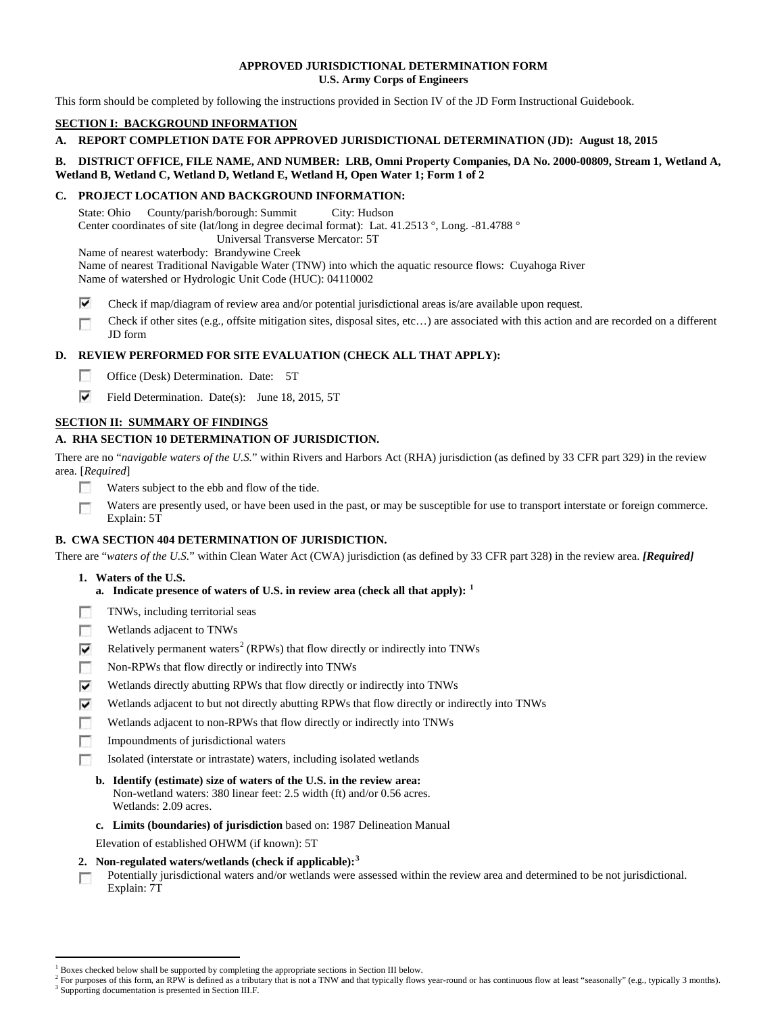#### **APPROVED JURISDICTIONAL DETERMINATION FORM U.S. Army Corps of Engineers**

This form should be completed by following the instructions provided in Section IV of the JD Form Instructional Guidebook.

## **SECTION I: BACKGROUND INFORMATION**

## **A. REPORT COMPLETION DATE FOR APPROVED JURISDICTIONAL DETERMINATION (JD): August 18, 2015**

## **B. DISTRICT OFFICE, FILE NAME, AND NUMBER: LRB, Omni Property Companies, DA No. 2000-00809, Stream 1, Wetland A, Wetland B, Wetland C, Wetland D, Wetland E, Wetland H, Open Water 1; Form 1 of 2**

## **C. PROJECT LOCATION AND BACKGROUND INFORMATION:**

State: Ohio County/parish/borough: Summit City: Hudson Center coordinates of site (lat/long in degree decimal format): Lat. 41.2513 °, Long. -81.4788 ° Universal Transverse Mercator: 5T

Name of nearest waterbody: Brandywine Creek

Name of nearest Traditional Navigable Water (TNW) into which the aquatic resource flows: Cuyahoga River Name of watershed or Hydrologic Unit Code (HUC): 04110002

- ⊽ Check if map/diagram of review area and/or potential jurisdictional areas is/are available upon request.
- Check if other sites (e.g., offsite mitigation sites, disposal sites, etc…) are associated with this action and are recorded on a different п JD form

# **D. REVIEW PERFORMED FOR SITE EVALUATION (CHECK ALL THAT APPLY):**

- $\sim$ Office (Desk) Determination. Date: 5T
- ⊽ Field Determination. Date(s): June 18, 2015, 5T

# **SECTION II: SUMMARY OF FINDINGS**

# **A. RHA SECTION 10 DETERMINATION OF JURISDICTION.**

There are no "*navigable waters of the U.S.*" within Rivers and Harbors Act (RHA) jurisdiction (as defined by 33 CFR part 329) in the review area. [*Required*]

- п Waters subject to the ebb and flow of the tide.
- Waters are presently used, or have been used in the past, or may be susceptible for use to transport interstate or foreign commerce. п Explain: 5T

# **B. CWA SECTION 404 DETERMINATION OF JURISDICTION.**

There are "*waters of the U.S.*" within Clean Water Act (CWA) jurisdiction (as defined by 33 CFR part 328) in the review area. *[Required]*

## **1. Waters of the U.S.**

- **a. Indicate presence of waters of U.S. in review area (check all that apply): [1](#page-0-0)**
- TNWs, including territorial seas п
- T. Wetlands adjacent to TNWs
- Relatively permanent waters<sup>[2](#page-0-1)</sup> (RPWs) that flow directly or indirectly into TNWs ⊽
- m Non-RPWs that flow directly or indirectly into TNWs
- ⊽ Wetlands directly abutting RPWs that flow directly or indirectly into TNWs
- ⊽ Wetlands adjacent to but not directly abutting RPWs that flow directly or indirectly into TNWs
- г Wetlands adjacent to non-RPWs that flow directly or indirectly into TNWs
- Impoundments of jurisdictional waters n.
- Isolated (interstate or intrastate) waters, including isolated wetlands п
	- **b. Identify (estimate) size of waters of the U.S. in the review area:** Non-wetland waters: 380 linear feet: 2.5 width (ft) and/or 0.56 acres. Wetlands: 2.09 acres.
	- **c. Limits (boundaries) of jurisdiction** based on: 1987 Delineation Manual
	- Elevation of established OHWM (if known): 5T
- **2. Non-regulated waters/wetlands (check if applicable): [3](#page-0-2)**
- Potentially jurisdictional waters and/or wetlands were assessed within the review area and determined to be not jurisdictional. п Explain: 7T

<sup>&</sup>lt;sup>1</sup> Boxes checked below shall be supported by completing the appropriate sections in Section III below.

<span id="page-0-2"></span><span id="page-0-1"></span><span id="page-0-0"></span> $^2$  For purposes of this form, an RPW is defined as a tributary that is not a TNW and that typically flows year-round or has continuous flow at least "seasonally" (e.g., typically 3 months).<br><sup>3</sup> Supporting documentation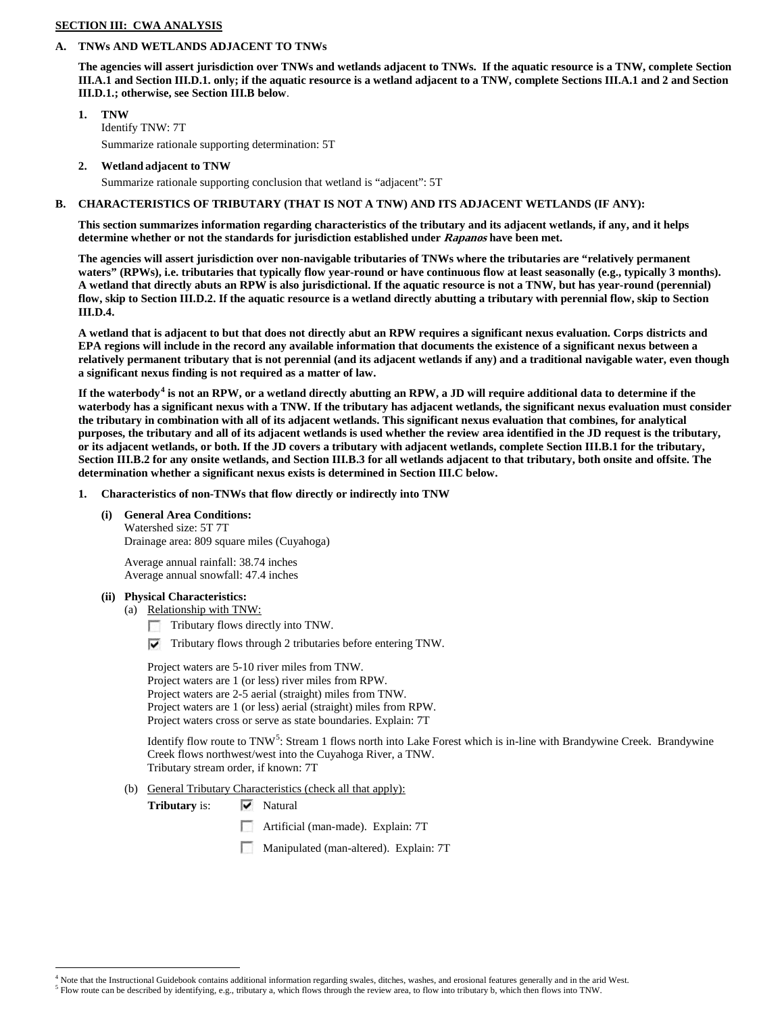### **SECTION III: CWA ANALYSIS**

#### **A. TNWs AND WETLANDS ADJACENT TO TNWs**

**The agencies will assert jurisdiction over TNWs and wetlands adjacent to TNWs. If the aquatic resource is a TNW, complete Section III.A.1 and Section III.D.1. only; if the aquatic resource is a wetland adjacent to a TNW, complete Sections III.A.1 and 2 and Section III.D.1.; otherwise, see Section III.B below**.

- **1. TNW**  Identify TNW: 7T Summarize rationale supporting determination: 5T
- **2. Wetland adjacent to TNW**

Summarize rationale supporting conclusion that wetland is "adjacent": 5T

## **B. CHARACTERISTICS OF TRIBUTARY (THAT IS NOT A TNW) AND ITS ADJACENT WETLANDS (IF ANY):**

**This section summarizes information regarding characteristics of the tributary and its adjacent wetlands, if any, and it helps determine whether or not the standards for jurisdiction established under Rapanos have been met.** 

**The agencies will assert jurisdiction over non-navigable tributaries of TNWs where the tributaries are "relatively permanent waters" (RPWs), i.e. tributaries that typically flow year-round or have continuous flow at least seasonally (e.g., typically 3 months). A wetland that directly abuts an RPW is also jurisdictional. If the aquatic resource is not a TNW, but has year-round (perennial) flow, skip to Section III.D.2. If the aquatic resource is a wetland directly abutting a tributary with perennial flow, skip to Section III.D.4.**

**A wetland that is adjacent to but that does not directly abut an RPW requires a significant nexus evaluation. Corps districts and EPA regions will include in the record any available information that documents the existence of a significant nexus between a relatively permanent tributary that is not perennial (and its adjacent wetlands if any) and a traditional navigable water, even though a significant nexus finding is not required as a matter of law.**

**If the waterbody[4](#page-1-0) is not an RPW, or a wetland directly abutting an RPW, a JD will require additional data to determine if the waterbody has a significant nexus with a TNW. If the tributary has adjacent wetlands, the significant nexus evaluation must consider the tributary in combination with all of its adjacent wetlands. This significant nexus evaluation that combines, for analytical purposes, the tributary and all of its adjacent wetlands is used whether the review area identified in the JD request is the tributary, or its adjacent wetlands, or both. If the JD covers a tributary with adjacent wetlands, complete Section III.B.1 for the tributary, Section III.B.2 for any onsite wetlands, and Section III.B.3 for all wetlands adjacent to that tributary, both onsite and offsite. The determination whether a significant nexus exists is determined in Section III.C below.**

- **1. Characteristics of non-TNWs that flow directly or indirectly into TNW**
	- **(i) General Area Conditions:**

Watershed size: 5T 7T Drainage area: 809 square miles (Cuyahoga)

Average annual rainfall: 38.74 inches Average annual snowfall: 47.4 inches

#### **(ii) Physical Characteristics:**

(a) Relationship with TNW:

Tributary flows directly into TNW.

 $\triangledown$  Tributary flows through 2 tributaries before entering TNW.

Project waters are 5-10 river miles from TNW. Project waters are 1 (or less) river miles from RPW. Project waters are 2-5 aerial (straight) miles from TNW. Project waters are 1 (or less) aerial (straight) miles from RPW. Project waters cross or serve as state boundaries. Explain: 7T

Identify flow route to TNW<sup>[5](#page-1-1)</sup>: Stream 1 flows north into Lake Forest which is in-line with Brandywine Creek. Brandywine Creek flows northwest/west into the Cuyahoga River, a TNW. Tributary stream order, if known: 7T

(b) General Tributary Characteristics (check all that apply):

**Tributary** is:  $\overline{\mathbf{v}}$  Natural

- n Artificial (man-made). Explain: 7T
- Manipulated (man-altered). Explain: 7T

<span id="page-1-0"></span> $<sup>4</sup>$  Note that the Instructional Guidebook contains additional information regarding swales, ditches, washes, and erosional features generally and in the arid West.<br><sup>5</sup> Flow route can be described by identifying, e.g</sup>

<span id="page-1-1"></span>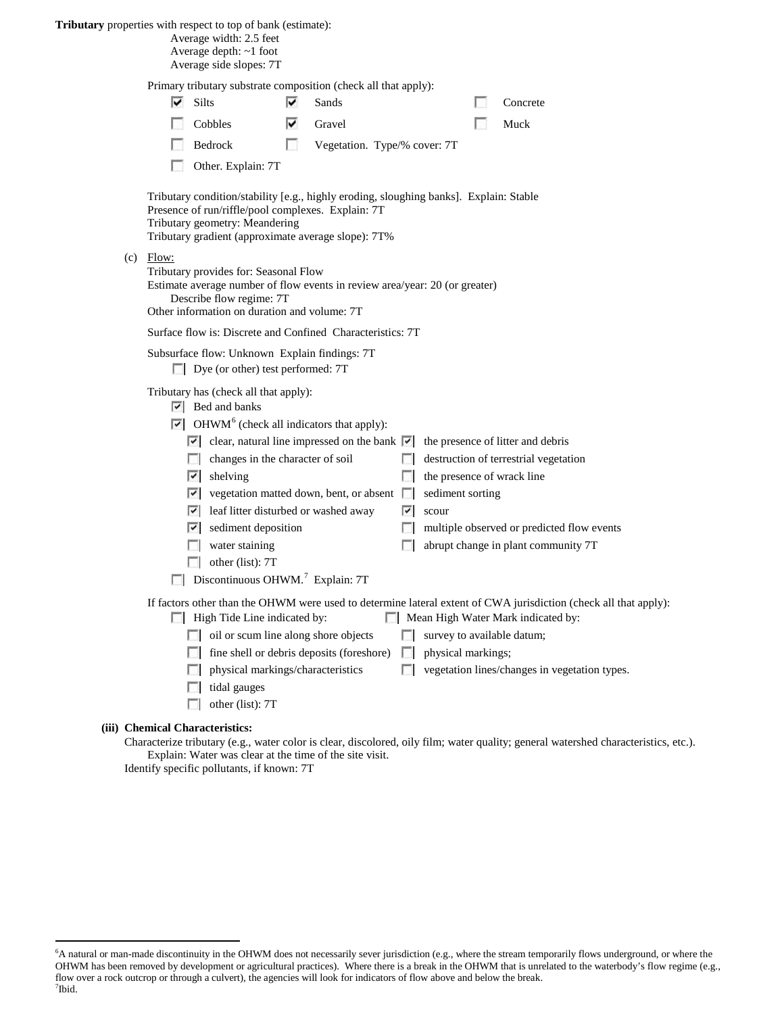### **Tributary** properties with respect to top of bank (estimate):

 $(c)$ 

Average width: 2.5 feet

Average depth: ~1 foot Average side slopes: 7T

Primary tributary substrate composition (check all that apply):

| ⊽                                                                                                                                                                                                                                     | <b>Silts</b>                                                                                                                                                                                                                                                                                                                                                                                                                                                                                                                                                                           | ⊽ | Sands                                     |  |                                                                          |  | Concrete                                                                                                                                                                                                |
|---------------------------------------------------------------------------------------------------------------------------------------------------------------------------------------------------------------------------------------|----------------------------------------------------------------------------------------------------------------------------------------------------------------------------------------------------------------------------------------------------------------------------------------------------------------------------------------------------------------------------------------------------------------------------------------------------------------------------------------------------------------------------------------------------------------------------------------|---|-------------------------------------------|--|--------------------------------------------------------------------------|--|---------------------------------------------------------------------------------------------------------------------------------------------------------------------------------------------------------|
|                                                                                                                                                                                                                                       | Cobbles                                                                                                                                                                                                                                                                                                                                                                                                                                                                                                                                                                                | է | Gravel                                    |  |                                                                          |  | Muck                                                                                                                                                                                                    |
|                                                                                                                                                                                                                                       | Bedrock                                                                                                                                                                                                                                                                                                                                                                                                                                                                                                                                                                                | u | Vegetation. Type/% cover: 7T              |  |                                                                          |  |                                                                                                                                                                                                         |
|                                                                                                                                                                                                                                       | Other. Explain: 7T                                                                                                                                                                                                                                                                                                                                                                                                                                                                                                                                                                     |   |                                           |  |                                                                          |  |                                                                                                                                                                                                         |
| Tributary condition/stability [e.g., highly eroding, sloughing banks]. Explain: Stable<br>Presence of run/riffle/pool complexes. Explain: 7T<br>Tributary geometry: Meandering<br>Tributary gradient (approximate average slope): 7T% |                                                                                                                                                                                                                                                                                                                                                                                                                                                                                                                                                                                        |   |                                           |  |                                                                          |  |                                                                                                                                                                                                         |
| Flow:<br>Tributary provides for: Seasonal Flow<br>Estimate average number of flow events in review area/year: 20 (or greater)<br>Describe flow regime: 7T<br>Other information on duration and volume: 7T                             |                                                                                                                                                                                                                                                                                                                                                                                                                                                                                                                                                                                        |   |                                           |  |                                                                          |  |                                                                                                                                                                                                         |
| Surface flow is: Discrete and Confined Characteristics: 7T                                                                                                                                                                            |                                                                                                                                                                                                                                                                                                                                                                                                                                                                                                                                                                                        |   |                                           |  |                                                                          |  |                                                                                                                                                                                                         |
| Subsurface flow: Unknown Explain findings: 7T<br>Dye (or other) test performed: 7T                                                                                                                                                    |                                                                                                                                                                                                                                                                                                                                                                                                                                                                                                                                                                                        |   |                                           |  |                                                                          |  |                                                                                                                                                                                                         |
|                                                                                                                                                                                                                                       | Tributary has (check all that apply):<br>$ \nabla $ Bed and banks<br>$\triangleright$ OHWM <sup>6</sup> (check all indicators that apply):<br>$\vert \cdot \vert$ clear, natural line impressed on the bank $\vert \cdot \vert$ the presence of litter and debris<br>changes in the character of soil<br>$ \vec{v} $ shelving<br>$\triangleright$ vegetation matted down, bent, or absent $\triangleright$<br>⊽<br>leaf litter disturbed or washed away<br>M<br>sediment deposition<br>water staining<br>L.<br>other (list): 7T<br>$\Box$ Discontinuous OHWM. <sup>7</sup> Explain: 7T |   |                                           |  | the presence of wrack line<br>sediment sorting<br>$ \overline{v} $ scour |  | destruction of terrestrial vegetation<br>multiple observed or predicted flow events<br>abrupt change in plant community 7T                                                                              |
|                                                                                                                                                                                                                                       | High Tide Line indicated by:<br>oil or scum line along shore objects<br>L.<br>physical markings/characteristics<br>tidal gauges<br>other (list): 7T                                                                                                                                                                                                                                                                                                                                                                                                                                    |   | fine shell or debris deposits (foreshore) |  | survey to available datum;<br>physical markings;                         |  | If factors other than the OHWM were used to determine lateral extent of CWA jurisdiction (check all that apply):<br>Mean High Water Mark indicated by:<br>vegetation lines/changes in vegetation types. |

### **(iii) Chemical Characteristics:**

Characterize tributary (e.g., water color is clear, discolored, oily film; water quality; general watershed characteristics, etc.). Explain: Water was clear at the time of the site visit.

Identify specific pollutants, if known: 7T

<span id="page-2-1"></span><span id="page-2-0"></span> <sup>6</sup> <sup>6</sup>A natural or man-made discontinuity in the OHWM does not necessarily sever jurisdiction (e.g., where the stream temporarily flows underground, or where the OHWM has been removed by development or agricultural practices). Where there is a break in the OHWM that is unrelated to the waterbody's flow regime (e.g., flow over a rock outcrop or through a culvert), the agencies will look for indicators of flow above and below the break. 7 Ibid.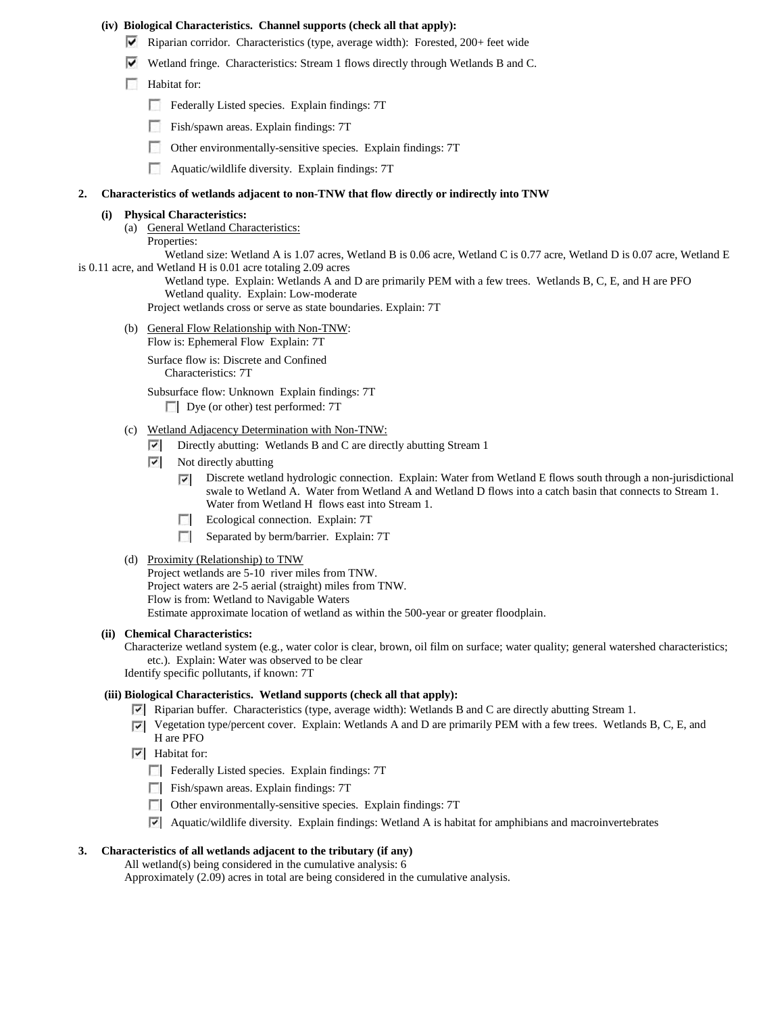#### **(iv) Biological Characteristics. Channel supports (check all that apply):**

- Riparian corridor. Characteristics (type, average width): Forested, 200+ feet wide
- Wetland fringe. Characteristics: Stream 1 flows directly through Wetlands B and C.
- **Habitat for:** 
	- Federally Listed species. Explain findings: 7T
	- Fish/spawn areas. Explain findings: 7T
	- $\sim$ Other environmentally-sensitive species. Explain findings: 7T
	- Aquatic/wildlife diversity. Explain findings: 7T

#### **2. Characteristics of wetlands adjacent to non-TNW that flow directly or indirectly into TNW**

#### **(i) Physical Characteristics:**

(a) General Wetland Characteristics: Properties:

Wetland size: Wetland A is 1.07 acres, Wetland B is 0.06 acre, Wetland C is 0.77 acre, Wetland D is 0.07 acre, Wetland E is 0.11 acre, and Wetland H is 0.01 acre totaling 2.09 acres

> Wetland type. Explain: Wetlands A and D are primarily PEM with a few trees. Wetlands B, C, E, and H are PFO Wetland quality. Explain: Low-moderate

Project wetlands cross or serve as state boundaries. Explain: 7T

(b) General Flow Relationship with Non-TNW:

Flow is: Ephemeral Flow Explain: 7T

Surface flow is: Discrete and Confined Characteristics: 7T

Subsurface flow: Unknown Explain findings: 7T

Dye (or other) test performed: 7T

- (c) Wetland Adjacency Determination with Non-TNW:
	- Directly abutting: Wetlands B and C are directly abutting Stream 1
	- $\overline{\phantom{a}}$ Not directly abutting
		- Discrete wetland hydrologic connection. Explain: Water from Wetland E flows south through a non-jurisdictional ⊽ swale to Wetland A. Water from Wetland A and Wetland D flows into a catch basin that connects to Stream 1. Water from Wetland H flows east into Stream 1.
		- **Explain:** 7T Ecological connection. Explain: 7T
		- $\mathcal{L}$ Separated by berm/barrier. Explain: 7T

#### (d) Proximity (Relationship) to TNW

Project wetlands are 5-10 river miles from TNW. Project waters are 2-5 aerial (straight) miles from TNW. Flow is from: Wetland to Navigable Waters Estimate approximate location of wetland as within the 500-year or greater floodplain.

#### **(ii) Chemical Characteristics:**

Characterize wetland system (e.g., water color is clear, brown, oil film on surface; water quality; general watershed characteristics; etc.). Explain: Water was observed to be clear

Identify specific pollutants, if known: 7T

### **(iii) Biological Characteristics. Wetland supports (check all that apply):**

- **Riparian buffer.** Characteristics (type, average width): Wetlands B and C are directly abutting Stream 1.
- Vegetation type/percent cover. Explain: Wetlands A and D are primarily PEM with a few trees. Wetlands B, C, E, and H are PFO
- $\overline{\triangledown}$  Habitat for:
	- Federally Listed species. Explain findings: 7T
	- Fish/spawn areas. Explain findings: 7T
	- Other environmentally-sensitive species. Explain findings: 7T
	- Aquatic/wildlife diversity. Explain findings: Wetland A is habitat for amphibians and macroinvertebrates

## **3. Characteristics of all wetlands adjacent to the tributary (if any)**

All wetland(s) being considered in the cumulative analysis: 6 Approximately (2.09) acres in total are being considered in the cumulative analysis.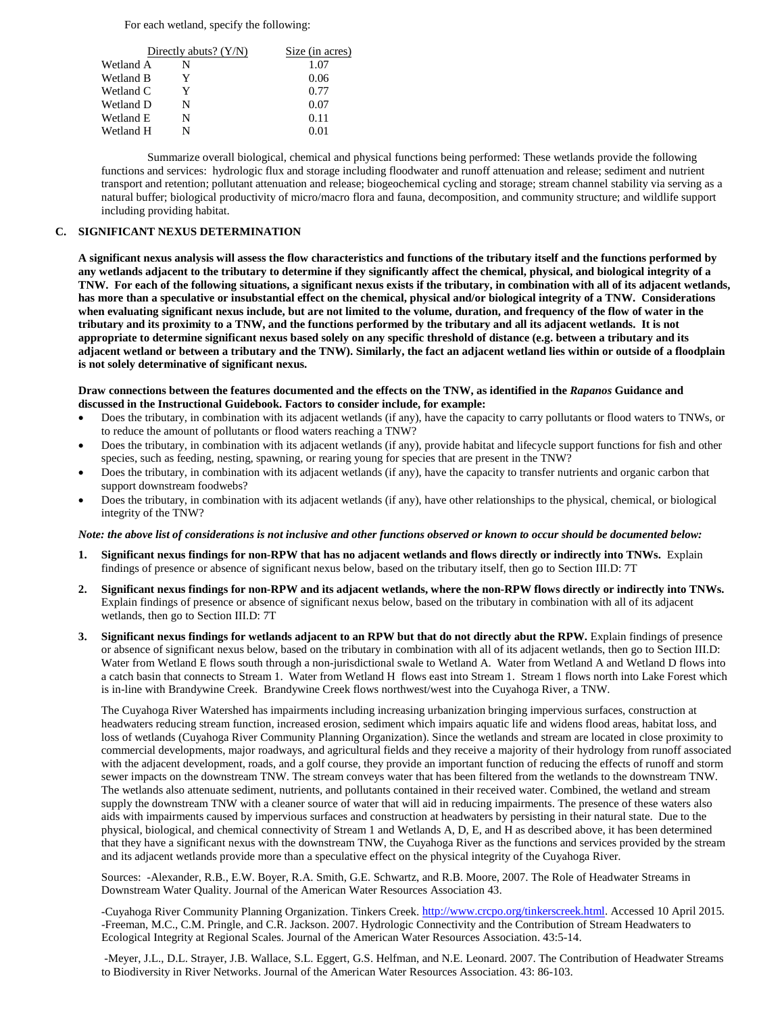For each wetland, specify the following:

|           | Directly abuts? $(Y/N)$ | Size (in acres) |
|-----------|-------------------------|-----------------|
| Wetland A | N                       | 1.07            |
| Wetland B | Y                       | 0.06            |
| Wetland C | Y                       | 0.77            |
| Wetland D | N                       | 0.07            |
| Wetland E | N                       | 0.11            |
| Wetland H | N                       | 0.01            |

Summarize overall biological, chemical and physical functions being performed: These wetlands provide the following functions and services: hydrologic flux and storage including floodwater and runoff attenuation and release; sediment and nutrient transport and retention; pollutant attenuation and release; biogeochemical cycling and storage; stream channel stability via serving as a natural buffer; biological productivity of micro/macro flora and fauna, decomposition, and community structure; and wildlife support including providing habitat.

#### **C. SIGNIFICANT NEXUS DETERMINATION**

**A significant nexus analysis will assess the flow characteristics and functions of the tributary itself and the functions performed by any wetlands adjacent to the tributary to determine if they significantly affect the chemical, physical, and biological integrity of a TNW. For each of the following situations, a significant nexus exists if the tributary, in combination with all of its adjacent wetlands, has more than a speculative or insubstantial effect on the chemical, physical and/or biological integrity of a TNW. Considerations when evaluating significant nexus include, but are not limited to the volume, duration, and frequency of the flow of water in the tributary and its proximity to a TNW, and the functions performed by the tributary and all its adjacent wetlands. It is not appropriate to determine significant nexus based solely on any specific threshold of distance (e.g. between a tributary and its adjacent wetland or between a tributary and the TNW). Similarly, the fact an adjacent wetland lies within or outside of a floodplain is not solely determinative of significant nexus.** 

#### **Draw connections between the features documented and the effects on the TNW, as identified in the** *Rapanos* **Guidance and discussed in the Instructional Guidebook. Factors to consider include, for example:**

- Does the tributary, in combination with its adjacent wetlands (if any), have the capacity to carry pollutants or flood waters to TNWs, or to reduce the amount of pollutants or flood waters reaching a TNW?
- Does the tributary, in combination with its adjacent wetlands (if any), provide habitat and lifecycle support functions for fish and other species, such as feeding, nesting, spawning, or rearing young for species that are present in the TNW?
- Does the tributary, in combination with its adjacent wetlands (if any), have the capacity to transfer nutrients and organic carbon that support downstream foodwebs?
- Does the tributary, in combination with its adjacent wetlands (if any), have other relationships to the physical, chemical, or biological integrity of the TNW?

#### *Note: the above list of considerations is not inclusive and other functions observed or known to occur should be documented below:*

- **1. Significant nexus findings for non-RPW that has no adjacent wetlands and flows directly or indirectly into TNWs.** Explain findings of presence or absence of significant nexus below, based on the tributary itself, then go to Section III.D: 7T
- **2. Significant nexus findings for non-RPW and its adjacent wetlands, where the non-RPW flows directly or indirectly into TNWs.**  Explain findings of presence or absence of significant nexus below, based on the tributary in combination with all of its adjacent wetlands, then go to Section III.D: 7T
- **3. Significant nexus findings for wetlands adjacent to an RPW but that do not directly abut the RPW.** Explain findings of presence or absence of significant nexus below, based on the tributary in combination with all of its adjacent wetlands, then go to Section III.D: Water from Wetland E flows south through a non-jurisdictional swale to Wetland A. Water from Wetland A and Wetland D flows into a catch basin that connects to Stream 1. Water from Wetland H flows east into Stream 1. Stream 1 flows north into Lake Forest which is in-line with Brandywine Creek. Brandywine Creek flows northwest/west into the Cuyahoga River, a TNW.

The Cuyahoga River Watershed has impairments including increasing urbanization bringing impervious surfaces, construction at headwaters reducing stream function, increased erosion, sediment which impairs aquatic life and widens flood areas, habitat loss, and loss of wetlands (Cuyahoga River Community Planning Organization). Since the wetlands and stream are located in close proximity to commercial developments, major roadways, and agricultural fields and they receive a majority of their hydrology from runoff associated with the adjacent development, roads, and a golf course, they provide an important function of reducing the effects of runoff and storm sewer impacts on the downstream TNW. The stream conveys water that has been filtered from the wetlands to the downstream TNW. The wetlands also attenuate sediment, nutrients, and pollutants contained in their received water. Combined, the wetland and stream supply the downstream TNW with a cleaner source of water that will aid in reducing impairments. The presence of these waters also aids with impairments caused by impervious surfaces and construction at headwaters by persisting in their natural state. Due to the physical, biological, and chemical connectivity of Stream 1 and Wetlands A, D, E, and H as described above, it has been determined that they have a significant nexus with the downstream TNW, the Cuyahoga River as the functions and services provided by the stream and its adjacent wetlands provide more than a speculative effect on the physical integrity of the Cuyahoga River.

Sources: -Alexander, R.B., E.W. Boyer, R.A. Smith, G.E. Schwartz, and R.B. Moore, 2007. The Role of Headwater Streams in Downstream Water Quality. Journal of the American Water Resources Association 43.

-Cuyahoga River Community Planning Organization. Tinkers Creek. [http://www.crcpo.org/tinkerscreek.html.](http://www.crcpo.org/tinkerscreek.html) Accessed 10 April 2015. -Freeman, M.C., C.M. Pringle, and C.R. Jackson. 2007. Hydrologic Connectivity and the Contribution of Stream Headwaters to Ecological Integrity at Regional Scales. Journal of the American Water Resources Association. 43:5-14.

-Meyer, J.L., D.L. Strayer, J.B. Wallace, S.L. Eggert, G.S. Helfman, and N.E. Leonard. 2007. The Contribution of Headwater Streams to Biodiversity in River Networks. Journal of the American Water Resources Association. 43: 86-103.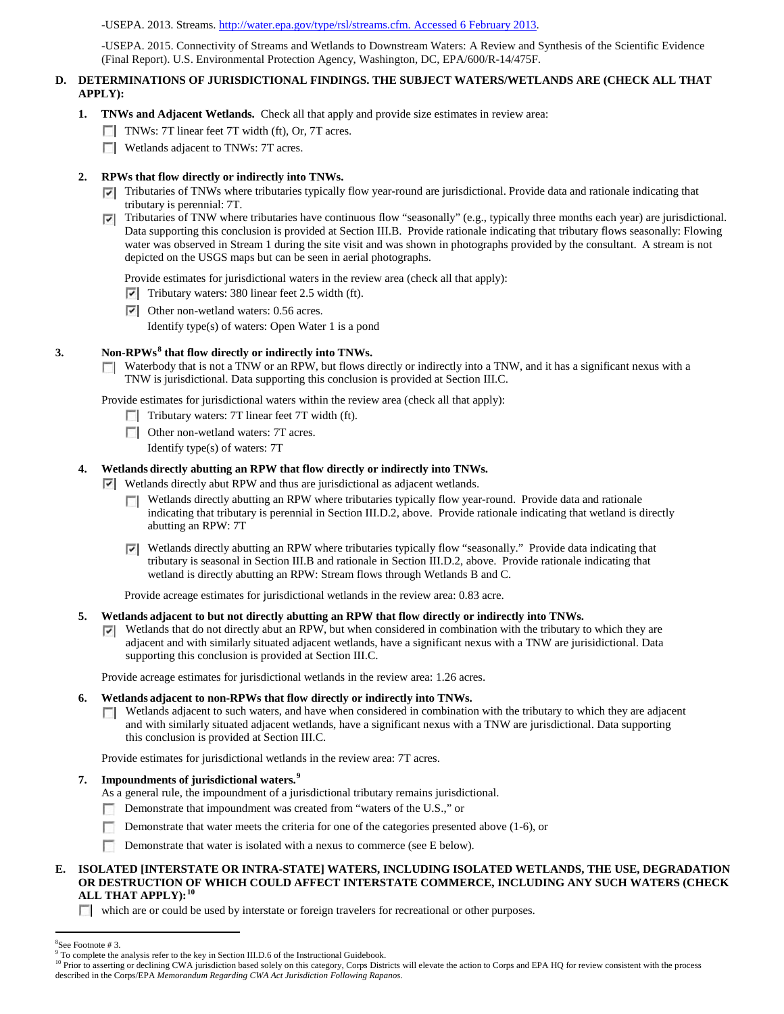#### -USEPA. 2013. Streams. [http://water.epa.gov/type/rsl/streams.cfm. Accessed 6 February 2013.](http://water.epa.gov/type/rsl/streams.cfm.%20Accessed%206%20February%202013)

-USEPA. 2015. Connectivity of Streams and Wetlands to Downstream Waters: A Review and Synthesis of the Scientific Evidence (Final Report). U.S. Environmental Protection Agency, Washington, DC, EPA/600/R-14/475F.

### **D. DETERMINATIONS OF JURISDICTIONAL FINDINGS. THE SUBJECT WATERS/WETLANDS ARE (CHECK ALL THAT APPLY):**

- **1. TNWs and Adjacent Wetlands.** Check all that apply and provide size estimates in review area:
	- TNWs: 7T linear feet 7T width (ft), Or, 7T acres.
	- **Wetlands adjacent to TNWs: 7T acres.**

## **2. RPWs that flow directly or indirectly into TNWs.**

- $\nabla$  Tributaries of TNWs where tributaries typically flow year-round are jurisdictional. Provide data and rationale indicating that tributary is perennial: 7T.
- Tributaries of TNW where tributaries have continuous flow "seasonally" (e.g., typically three months each year) are jurisdictional. ⊽ Data supporting this conclusion is provided at Section III.B. Provide rationale indicating that tributary flows seasonally: Flowing water was observed in Stream 1 during the site visit and was shown in photographs provided by the consultant. A stream is not depicted on the USGS maps but can be seen in aerial photographs.

Provide estimates for jurisdictional waters in the review area (check all that apply):

 $\triangledown$  Tributary waters: 380 linear feet 2.5 width (ft).

Other non-wetland waters: 0.56 acres.

Identify type(s) of waters: Open Water 1 is a pond

#### **3. Non-RPWs[8](#page-5-0) that flow directly or indirectly into TNWs.**

Waterbody that is not a TNW or an RPW, but flows directly or indirectly into a TNW, and it has a significant nexus with a  $\Box$ TNW is jurisdictional. Data supporting this conclusion is provided at Section III.C.

Provide estimates for jurisdictional waters within the review area (check all that apply):

- Tributary waters: 7T linear feet 7T width (ft).
- **Other non-wetland waters: 7T acres.** 
	- Identify type(s) of waters: 7T

## **4. Wetlands directly abutting an RPW that flow directly or indirectly into TNWs.**

Wetlands directly abut RPW and thus are jurisdictional as adjacent wetlands.

- Wetlands directly abutting an RPW where tributaries typically flow year-round. Provide data and rationale indicating that tributary is perennial in Section III.D.2, above. Provide rationale indicating that wetland is directly abutting an RPW: 7T
- Wetlands directly abutting an RPW where tributaries typically flow "seasonally." Provide data indicating that tributary is seasonal in Section III.B and rationale in Section III.D.2, above. Provide rationale indicating that wetland is directly abutting an RPW: Stream flows through Wetlands B and C.

Provide acreage estimates for jurisdictional wetlands in the review area: 0.83 acre.

- **5. Wetlands adjacent to but not directly abutting an RPW that flow directly or indirectly into TNWs.**
	- $\nabla$  Wetlands that do not directly abut an RPW, but when considered in combination with the tributary to which they are adjacent and with similarly situated adjacent wetlands, have a significant nexus with a TNW are jurisidictional. Data supporting this conclusion is provided at Section III.C.

Provide acreage estimates for jurisdictional wetlands in the review area: 1.26 acres.

#### **6. Wetlands adjacent to non-RPWs that flow directly or indirectly into TNWs.**

Wetlands adjacent to such waters, and have when considered in combination with the tributary to which they are adjacent  $\sim$ and with similarly situated adjacent wetlands, have a significant nexus with a TNW are jurisdictional. Data supporting this conclusion is provided at Section III.C.

Provide estimates for jurisdictional wetlands in the review area: 7T acres.

### **7. Impoundments of jurisdictional waters. [9](#page-5-1)**

- As a general rule, the impoundment of a jurisdictional tributary remains jurisdictional.
- Demonstrate that impoundment was created from "waters of the U.S.," or n
- Demonstrate that water meets the criteria for one of the categories presented above (1-6), or
- Demonstrate that water is isolated with a nexus to commerce (see E below).

#### **E. ISOLATED [INTERSTATE OR INTRA-STATE] WATERS, INCLUDING ISOLATED WETLANDS, THE USE, DEGRADATION OR DESTRUCTION OF WHICH COULD AFFECT INTERSTATE COMMERCE, INCLUDING ANY SUCH WATERS (CHECK ALL THAT APPLY):[10](#page-5-2)**

which are or could be used by interstate or foreign travelers for recreational or other purposes.

 $\frac{1}{8}$ 

<span id="page-5-1"></span><span id="page-5-0"></span><sup>&</sup>lt;sup>8</sup>See Footnote # 3.<br><sup>9</sup> To complete the analysis refer to the key in Section III.D.6 of the Instructional Guidebook.

<span id="page-5-2"></span><sup>&</sup>lt;sup>10</sup> Prior to asserting or declining CWA jurisdiction based solely on this category, Corps Districts will elevate the action to Corps and EPA HQ for review consistent with the process described in the Corps/EPA *Memorandum Regarding CWA Act Jurisdiction Following Rapanos.*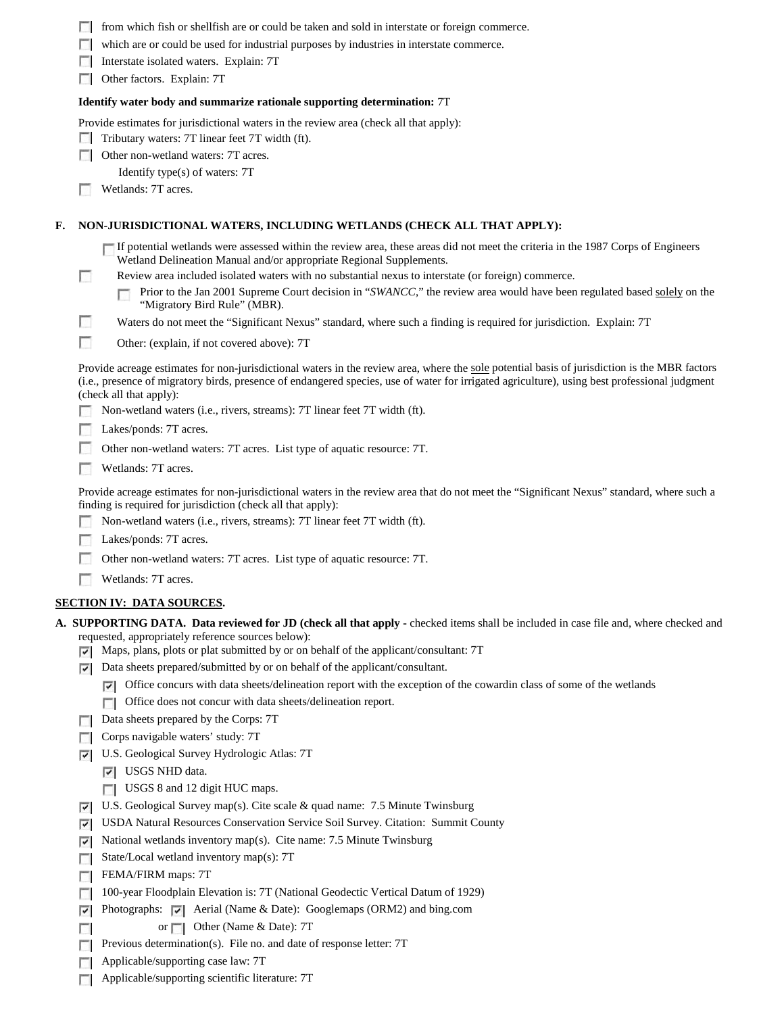|    |                                                                                                                                           | from which fish or shell fish are or could be taken and sold in interstate or foreign commerce.                                                                                                                                                                                                                           |  |  |  |  |  |
|----|-------------------------------------------------------------------------------------------------------------------------------------------|---------------------------------------------------------------------------------------------------------------------------------------------------------------------------------------------------------------------------------------------------------------------------------------------------------------------------|--|--|--|--|--|
|    |                                                                                                                                           | which are or could be used for industrial purposes by industries in interstate commerce.                                                                                                                                                                                                                                  |  |  |  |  |  |
|    |                                                                                                                                           | Interstate isolated waters. Explain: 7T                                                                                                                                                                                                                                                                                   |  |  |  |  |  |
|    |                                                                                                                                           | Other factors. Explain: 7T                                                                                                                                                                                                                                                                                                |  |  |  |  |  |
|    | Identify water body and summarize rationale supporting determination: 7T                                                                  |                                                                                                                                                                                                                                                                                                                           |  |  |  |  |  |
|    | Provide estimates for jurisdictional waters in the review area (check all that apply):<br>Tributary waters: 7T linear feet 7T width (ft). |                                                                                                                                                                                                                                                                                                                           |  |  |  |  |  |
|    |                                                                                                                                           | Other non-wetland waters: 7T acres.                                                                                                                                                                                                                                                                                       |  |  |  |  |  |
|    |                                                                                                                                           | Identify type(s) of waters: 7T                                                                                                                                                                                                                                                                                            |  |  |  |  |  |
|    |                                                                                                                                           | Wetlands: 7T acres.                                                                                                                                                                                                                                                                                                       |  |  |  |  |  |
| F. |                                                                                                                                           | NON-JURISDICTIONAL WATERS, INCLUDING WETLANDS (CHECK ALL THAT APPLY):                                                                                                                                                                                                                                                     |  |  |  |  |  |
|    |                                                                                                                                           | If potential wetlands were assessed within the review area, these areas did not meet the criteria in the 1987 Corps of Engineers<br>Wetland Delineation Manual and/or appropriate Regional Supplements.                                                                                                                   |  |  |  |  |  |
|    | п                                                                                                                                         | Review area included isolated waters with no substantial nexus to interstate (or foreign) commerce.                                                                                                                                                                                                                       |  |  |  |  |  |
|    |                                                                                                                                           | Prior to the Jan 2001 Supreme Court decision in "SWANCC," the review area would have been regulated based solely on the<br>"Migratory Bird Rule" (MBR).                                                                                                                                                                   |  |  |  |  |  |
|    | п                                                                                                                                         | Waters do not meet the "Significant Nexus" standard, where such a finding is required for jurisdiction. Explain: 7T                                                                                                                                                                                                       |  |  |  |  |  |
|    | г                                                                                                                                         | Other: (explain, if not covered above): 7T                                                                                                                                                                                                                                                                                |  |  |  |  |  |
|    |                                                                                                                                           | Provide acreage estimates for non-jurisdictional waters in the review area, where the sole potential basis of jurisdiction is the MBR factors<br>(i.e., presence of migratory birds, presence of endangered species, use of water for irrigated agriculture), using best professional judgment<br>(check all that apply): |  |  |  |  |  |
|    |                                                                                                                                           | Non-wetland waters (i.e., rivers, streams): 7T linear feet 7T width (ft).                                                                                                                                                                                                                                                 |  |  |  |  |  |
|    |                                                                                                                                           | Lakes/ponds: 7T acres.                                                                                                                                                                                                                                                                                                    |  |  |  |  |  |
|    |                                                                                                                                           | Other non-wetland waters: 7T acres. List type of aquatic resource: 7T.                                                                                                                                                                                                                                                    |  |  |  |  |  |
|    |                                                                                                                                           | Wetlands: 7T acres.                                                                                                                                                                                                                                                                                                       |  |  |  |  |  |
|    |                                                                                                                                           | Provide acreage estimates for non-jurisdictional waters in the review area that do not meet the "Significant Nexus" standard, where such a<br>finding is required for jurisdiction (check all that apply):                                                                                                                |  |  |  |  |  |
|    |                                                                                                                                           | Non-wetland waters (i.e., rivers, streams): 7T linear feet 7T width (ft).                                                                                                                                                                                                                                                 |  |  |  |  |  |
|    |                                                                                                                                           | Lakes/ponds: 7T acres.                                                                                                                                                                                                                                                                                                    |  |  |  |  |  |
|    |                                                                                                                                           |                                                                                                                                                                                                                                                                                                                           |  |  |  |  |  |
|    |                                                                                                                                           | Other non-wetland waters: 7T acres. List type of aquatic resource: 7T.                                                                                                                                                                                                                                                    |  |  |  |  |  |
|    |                                                                                                                                           | Wetlands: 7T acres.                                                                                                                                                                                                                                                                                                       |  |  |  |  |  |
|    |                                                                                                                                           | <b>SECTION IV: DATA SOURCES.</b>                                                                                                                                                                                                                                                                                          |  |  |  |  |  |
|    |                                                                                                                                           | A. SUPPORTING DATA. Data reviewed for JD (check all that apply - checked items shall be included in case file and, where checked and<br>requested, appropriately reference sources below):                                                                                                                                |  |  |  |  |  |
|    | ▿                                                                                                                                         | Maps, plans, plots or plat submitted by or on behalf of the applicant/consultant: 7T                                                                                                                                                                                                                                      |  |  |  |  |  |
|    | ⊽                                                                                                                                         | Data sheets prepared/submitted by or on behalf of the applicant/consultant.                                                                                                                                                                                                                                               |  |  |  |  |  |
|    |                                                                                                                                           | Office concurs with data sheets/delineation report with the exception of the cowardin class of some of the wetlands<br>$\vert\hspace{0.025cm}\check{}\hspace{0.15cm}\vert$ $\hspace{0.15cm}\check{}\hspace{0.15cm}\hspace{0.15cm}\vert$                                                                                   |  |  |  |  |  |
|    |                                                                                                                                           | Office does not concur with data sheets/delineation report.<br>$\sim$                                                                                                                                                                                                                                                     |  |  |  |  |  |
|    | L.                                                                                                                                        | Data sheets prepared by the Corps: 7T                                                                                                                                                                                                                                                                                     |  |  |  |  |  |
|    |                                                                                                                                           | Corps navigable waters' study: 7T                                                                                                                                                                                                                                                                                         |  |  |  |  |  |
|    | ⊽                                                                                                                                         | U.S. Geological Survey Hydrologic Atlas: 7T                                                                                                                                                                                                                                                                               |  |  |  |  |  |
|    |                                                                                                                                           | USGS NHD data.<br>V.                                                                                                                                                                                                                                                                                                      |  |  |  |  |  |
|    |                                                                                                                                           | USGS 8 and 12 digit HUC maps.                                                                                                                                                                                                                                                                                             |  |  |  |  |  |
|    | ∣v                                                                                                                                        | U.S. Geological Survey map(s). Cite scale $\&$ quad name: 7.5 Minute Twinsburg                                                                                                                                                                                                                                            |  |  |  |  |  |
|    | է                                                                                                                                         | USDA Natural Resources Conservation Service Soil Survey. Citation: Summit County                                                                                                                                                                                                                                          |  |  |  |  |  |
|    | ए                                                                                                                                         | National wetlands inventory map(s). Cite name: 7.5 Minute Twinsburg                                                                                                                                                                                                                                                       |  |  |  |  |  |
|    | п                                                                                                                                         | State/Local wetland inventory map(s): 7T                                                                                                                                                                                                                                                                                  |  |  |  |  |  |
|    |                                                                                                                                           | FEMA/FIRM maps: 7T                                                                                                                                                                                                                                                                                                        |  |  |  |  |  |
|    | г                                                                                                                                         | 100-year Floodplain Elevation is: 7T (National Geodectic Vertical Datum of 1929)                                                                                                                                                                                                                                          |  |  |  |  |  |
|    | ⇂                                                                                                                                         | Photographs: $ \nabla $<br>Aerial (Name & Date): Googlemaps (ORM2) and bing.com                                                                                                                                                                                                                                           |  |  |  |  |  |
|    |                                                                                                                                           | Other (Name & Date): 7T<br>$\overline{\text{or}}$                                                                                                                                                                                                                                                                         |  |  |  |  |  |
|    |                                                                                                                                           | Previous determination(s). File no. and date of response letter: 7T                                                                                                                                                                                                                                                       |  |  |  |  |  |
|    | D                                                                                                                                         | Applicable/supporting case law: 7T                                                                                                                                                                                                                                                                                        |  |  |  |  |  |

Applicable/supporting scientific literature: 7T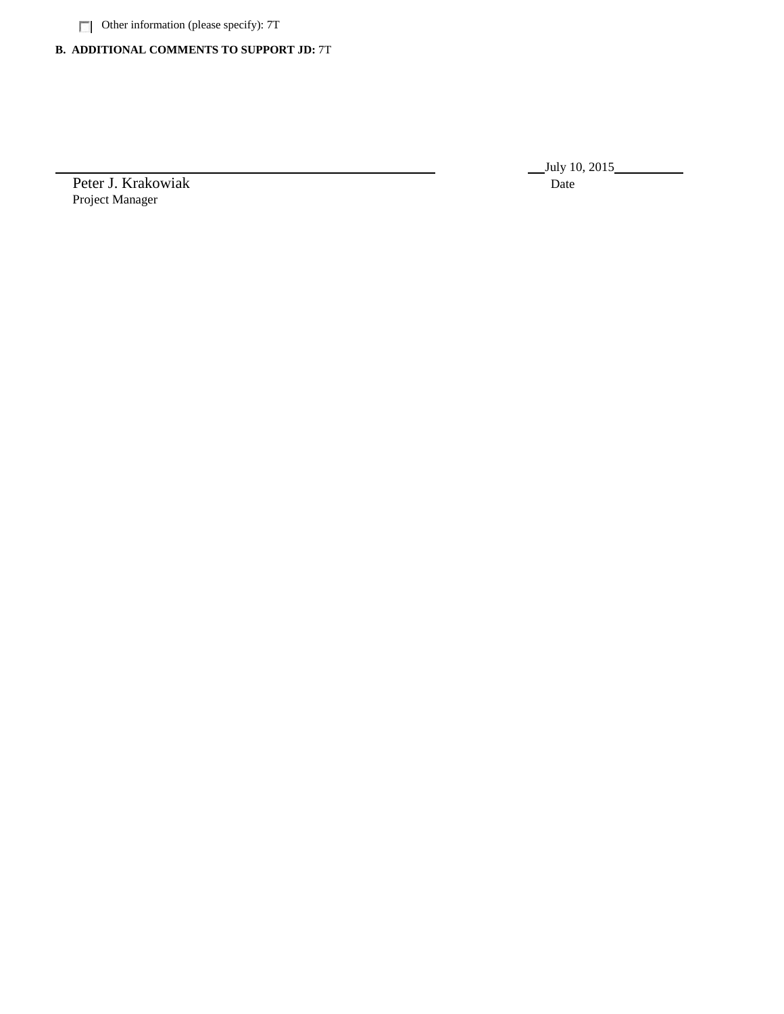Other information (please specify): 7T

# **B. ADDITIONAL COMMENTS TO SUPPORT JD:** 7T

Peter J. Krakowiak Date Project Manager

July 10, 2015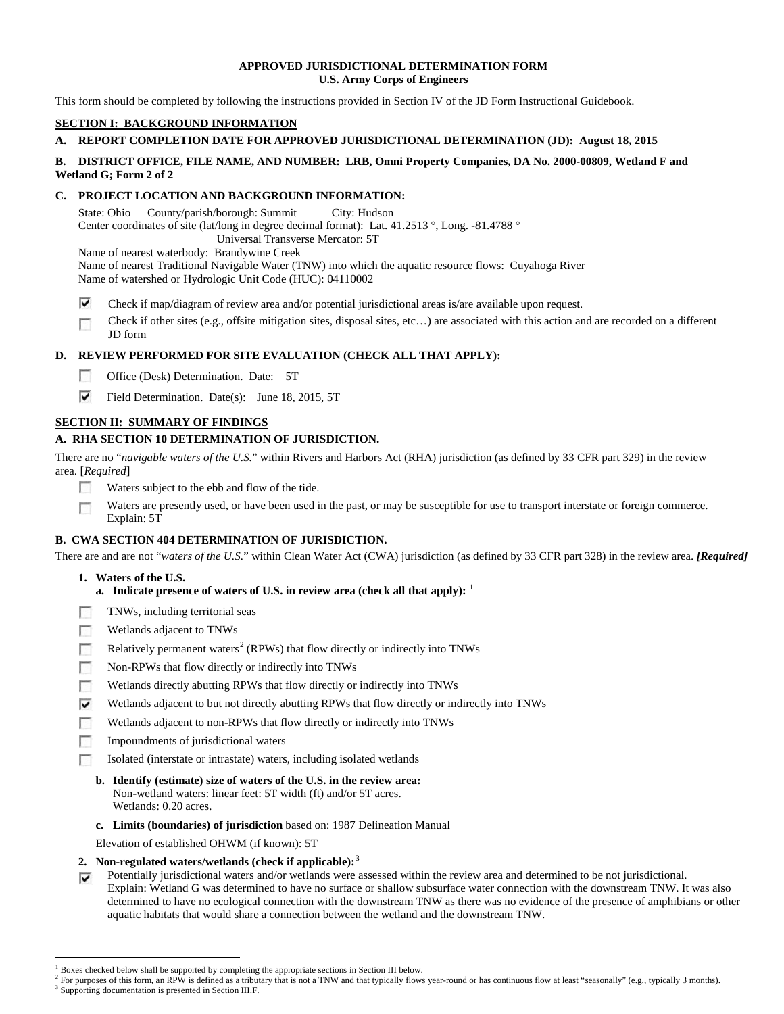### **APPROVED JURISDICTIONAL DETERMINATION FORM U.S. Army Corps of Engineers**

This form should be completed by following the instructions provided in Section IV of the JD Form Instructional Guidebook.

## **SECTION I: BACKGROUND INFORMATION**

## **A. REPORT COMPLETION DATE FOR APPROVED JURISDICTIONAL DETERMINATION (JD): August 18, 2015**

## **B. DISTRICT OFFICE, FILE NAME, AND NUMBER: LRB, Omni Property Companies, DA No. 2000-00809, Wetland F and Wetland G; Form 2 of 2**

## **C. PROJECT LOCATION AND BACKGROUND INFORMATION:**

State: Ohio County/parish/borough: Summit City: Hudson Center coordinates of site (lat/long in degree decimal format): Lat. 41.2513 °, Long. -81.4788 ° Universal Transverse Mercator: 5T

Name of nearest waterbody: Brandywine Creek

Name of nearest Traditional Navigable Water (TNW) into which the aquatic resource flows: Cuyahoga River Name of watershed or Hydrologic Unit Code (HUC): 04110002

- ⊽ Check if map/diagram of review area and/or potential jurisdictional areas is/are available upon request.
- Check if other sites (e.g., offsite mitigation sites, disposal sites, etc…) are associated with this action and are recorded on a different п JD form

## **D. REVIEW PERFORMED FOR SITE EVALUATION (CHECK ALL THAT APPLY):**

- $\sim$ Office (Desk) Determination. Date: 5T
- ⊽ Field Determination. Date(s): June 18, 2015, 5T

## **SECTION II: SUMMARY OF FINDINGS**

## **A. RHA SECTION 10 DETERMINATION OF JURISDICTION.**

There are no "*navigable waters of the U.S.*" within Rivers and Harbors Act (RHA) jurisdiction (as defined by 33 CFR part 329) in the review area. [*Required*]

- п Waters subject to the ebb and flow of the tide.
- Waters are presently used, or have been used in the past, or may be susceptible for use to transport interstate or foreign commerce. п Explain: 5T

## **B. CWA SECTION 404 DETERMINATION OF JURISDICTION.**

There are and are not "*waters of the U.S.*" within Clean Water Act (CWA) jurisdiction (as defined by 33 CFR part 328) in the review area. *[Required]*

## **1. Waters of the U.S.**

- **a. Indicate presence of waters of U.S. in review area (check all that apply): [1](#page-8-0)**
- TNWs, including territorial seas п
- Wetlands adjacent to TNWs n
- Relatively permanent waters<sup>[2](#page-8-1)</sup> (RPWs) that flow directly or indirectly into TNWs T.
- **In** Non-RPWs that flow directly or indirectly into TNWs
- Wetlands directly abutting RPWs that flow directly or indirectly into TNWs n
- Wetlands adjacent to but not directly abutting RPWs that flow directly or indirectly into TNWs ⊽
- г Wetlands adjacent to non-RPWs that flow directly or indirectly into TNWs
- Impoundments of jurisdictional waters n.
- Isolated (interstate or intrastate) waters, including isolated wetlands п
	- **b. Identify (estimate) size of waters of the U.S. in the review area:** Non-wetland waters: linear feet: 5T width (ft) and/or 5T acres. Wetlands: 0.20 acres.
	- **c. Limits (boundaries) of jurisdiction** based on: 1987 Delineation Manual
	- Elevation of established OHWM (if known): 5T
- **2. Non-regulated waters/wetlands (check if applicable): [3](#page-8-2)**
- Potentially jurisdictional waters and/or wetlands were assessed within the review area and determined to be not jurisdictional. ⊽ Explain: Wetland G was determined to have no surface or shallow subsurface water connection with the downstream TNW. It was also determined to have no ecological connection with the downstream TNW as there was no evidence of the presence of amphibians or other aquatic habitats that would share a connection between the wetland and the downstream TNW.

<sup>&</sup>lt;sup>1</sup> Boxes checked below shall be supported by completing the appropriate sections in Section III below.

<span id="page-8-2"></span><span id="page-8-1"></span><span id="page-8-0"></span> $^2$  For purposes of this form, an RPW is defined as a tributary that is not a TNW and that typically flows year-round or has continuous flow at least "seasonally" (e.g., typically 3 months).<br><sup>3</sup> Supporting documentation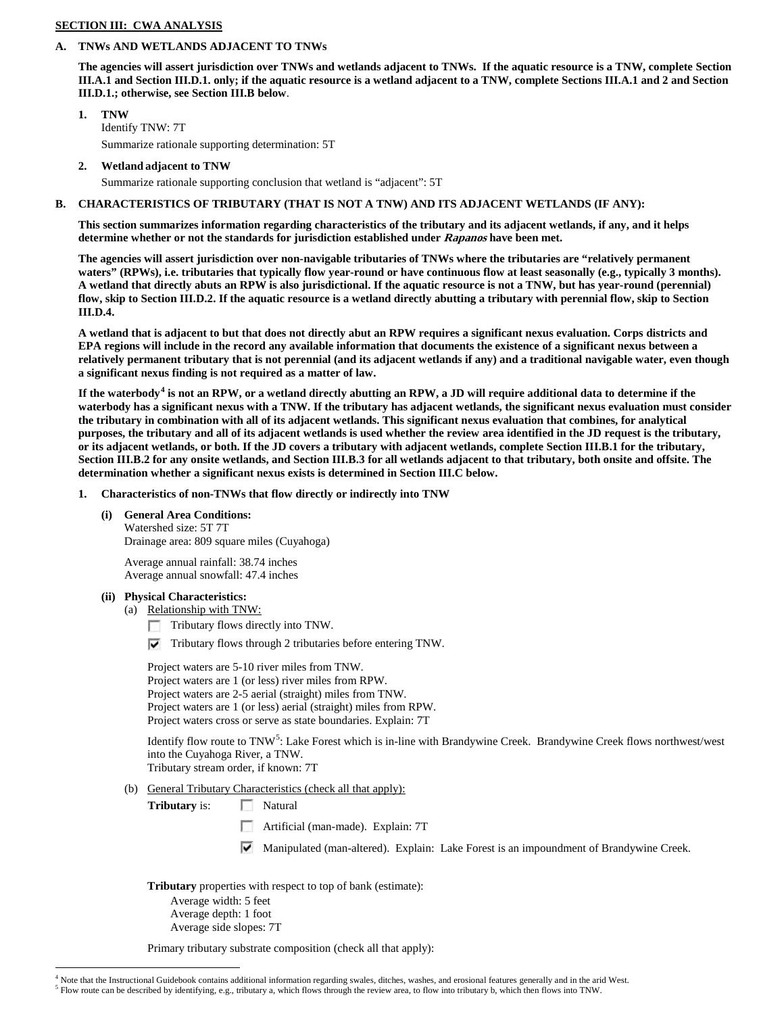### **SECTION III: CWA ANALYSIS**

# **A. TNWs AND WETLANDS ADJACENT TO TNWs**

**The agencies will assert jurisdiction over TNWs and wetlands adjacent to TNWs. If the aquatic resource is a TNW, complete Section III.A.1 and Section III.D.1. only; if the aquatic resource is a wetland adjacent to a TNW, complete Sections III.A.1 and 2 and Section III.D.1.; otherwise, see Section III.B below**.

- **1. TNW**  Identify TNW: 7T Summarize rationale supporting determination: 5T
- **2. Wetland adjacent to TNW**

Summarize rationale supporting conclusion that wetland is "adjacent": 5T

#### **B. CHARACTERISTICS OF TRIBUTARY (THAT IS NOT A TNW) AND ITS ADJACENT WETLANDS (IF ANY):**

**This section summarizes information regarding characteristics of the tributary and its adjacent wetlands, if any, and it helps determine whether or not the standards for jurisdiction established under Rapanos have been met.** 

**The agencies will assert jurisdiction over non-navigable tributaries of TNWs where the tributaries are "relatively permanent waters" (RPWs), i.e. tributaries that typically flow year-round or have continuous flow at least seasonally (e.g., typically 3 months). A wetland that directly abuts an RPW is also jurisdictional. If the aquatic resource is not a TNW, but has year-round (perennial) flow, skip to Section III.D.2. If the aquatic resource is a wetland directly abutting a tributary with perennial flow, skip to Section III.D.4.**

**A wetland that is adjacent to but that does not directly abut an RPW requires a significant nexus evaluation. Corps districts and EPA regions will include in the record any available information that documents the existence of a significant nexus between a relatively permanent tributary that is not perennial (and its adjacent wetlands if any) and a traditional navigable water, even though a significant nexus finding is not required as a matter of law.**

**If the waterbody[4](#page-9-0) is not an RPW, or a wetland directly abutting an RPW, a JD will require additional data to determine if the waterbody has a significant nexus with a TNW. If the tributary has adjacent wetlands, the significant nexus evaluation must consider the tributary in combination with all of its adjacent wetlands. This significant nexus evaluation that combines, for analytical purposes, the tributary and all of its adjacent wetlands is used whether the review area identified in the JD request is the tributary, or its adjacent wetlands, or both. If the JD covers a tributary with adjacent wetlands, complete Section III.B.1 for the tributary, Section III.B.2 for any onsite wetlands, and Section III.B.3 for all wetlands adjacent to that tributary, both onsite and offsite. The determination whether a significant nexus exists is determined in Section III.C below.**

- **1. Characteristics of non-TNWs that flow directly or indirectly into TNW**
	- **(i) General Area Conditions:**

Watershed size: 5T 7T Drainage area: 809 square miles (Cuyahoga)

Average annual rainfall: 38.74 inches Average annual snowfall: 47.4 inches

## **(ii) Physical Characteristics:**

(a) Relationship with TNW:

Tributary flows directly into TNW.

 $\nabla$  Tributary flows through 2 tributaries before entering TNW.

Project waters are 5-10 river miles from TNW. Project waters are 1 (or less) river miles from RPW. Project waters are 2-5 aerial (straight) miles from TNW. Project waters are 1 (or less) aerial (straight) miles from RPW. Project waters cross or serve as state boundaries. Explain: 7T

Identify flow route to TNW<sup>[5](#page-9-1)</sup>: Lake Forest which is in-line with Brandywine Creek. Brandywine Creek flows northwest/west into the Cuyahoga River, a TNW.

Tributary stream order, if known: 7T

(b) General Tributary Characteristics (check all that apply):

**Tributary** is: Natural

- п Artificial (man-made). Explain: 7T
- Manipulated (man-altered). Explain: Lake Forest is an impoundment of Brandywine Creek.

**Tributary** properties with respect to top of bank (estimate):

Average width: 5 feet Average depth: 1 foot Average side slopes: 7T

Primary tributary substrate composition (check all that apply):

<span id="page-9-1"></span><span id="page-9-0"></span> $4$  Note that the Instructional Guidebook contains additional information regarding swales, ditches, washes, and erosional features generally and in the arid West.<br>  $5$  Flow route can be described by identifying, e.g., tr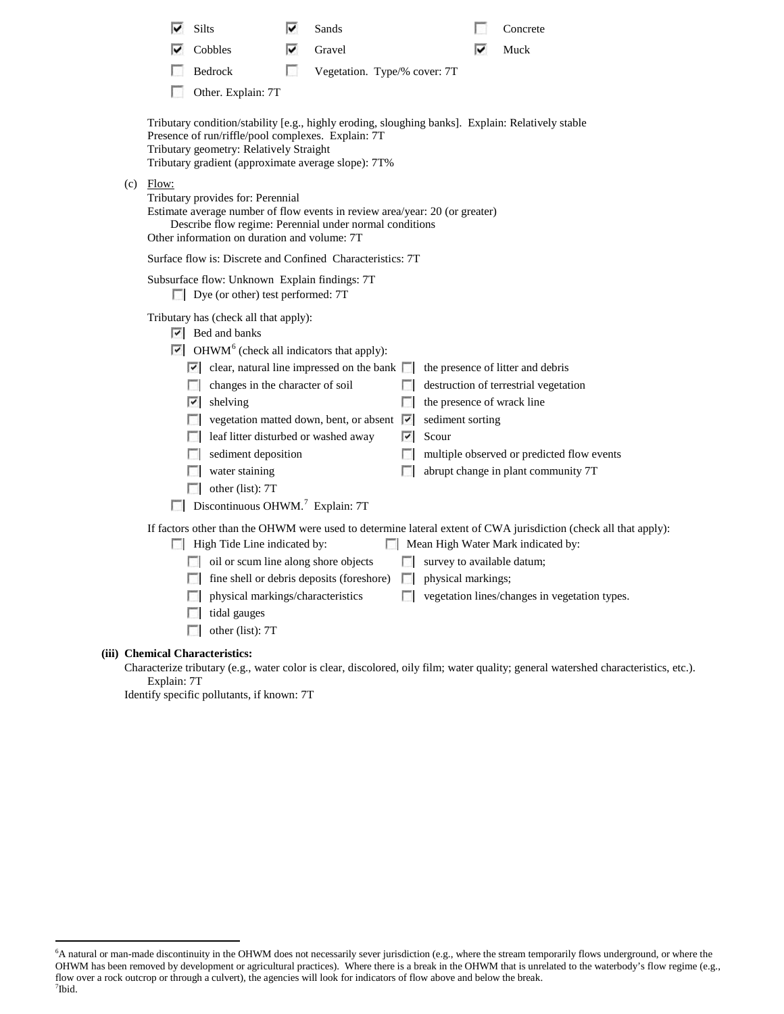|     |                                                                                                                                                                                                                                                           | Silts                                                                                                                                                                                                                                                                                                                                                                                                                                                                                                                                                                                         | է  | Sands                                     |        |                                                                                        |  | Concrete                                                                                                                                                                                                |
|-----|-----------------------------------------------------------------------------------------------------------------------------------------------------------------------------------------------------------------------------------------------------------|-----------------------------------------------------------------------------------------------------------------------------------------------------------------------------------------------------------------------------------------------------------------------------------------------------------------------------------------------------------------------------------------------------------------------------------------------------------------------------------------------------------------------------------------------------------------------------------------------|----|-------------------------------------------|--------|----------------------------------------------------------------------------------------|--|---------------------------------------------------------------------------------------------------------------------------------------------------------------------------------------------------------|
|     |                                                                                                                                                                                                                                                           | Cobbles                                                                                                                                                                                                                                                                                                                                                                                                                                                                                                                                                                                       | M  | Gravel                                    |        |                                                                                        |  | Muck                                                                                                                                                                                                    |
|     |                                                                                                                                                                                                                                                           | Bedrock                                                                                                                                                                                                                                                                                                                                                                                                                                                                                                                                                                                       | L. | Vegetation. Type/% cover: 7T              |        |                                                                                        |  |                                                                                                                                                                                                         |
|     |                                                                                                                                                                                                                                                           | Other. Explain: 7T                                                                                                                                                                                                                                                                                                                                                                                                                                                                                                                                                                            |    |                                           |        |                                                                                        |  |                                                                                                                                                                                                         |
|     | Tributary condition/stability [e.g., highly eroding, sloughing banks]. Explain: Relatively stable<br>Presence of run/riffle/pool complexes. Explain: 7T<br>Tributary geometry: Relatively Straight<br>Tributary gradient (approximate average slope): 7T% |                                                                                                                                                                                                                                                                                                                                                                                                                                                                                                                                                                                               |    |                                           |        |                                                                                        |  |                                                                                                                                                                                                         |
| (c) | Flow:<br>Tributary provides for: Perennial<br>Estimate average number of flow events in review area/year: 20 (or greater)<br>Describe flow regime: Perennial under normal conditions<br>Other information on duration and volume: 7T                      |                                                                                                                                                                                                                                                                                                                                                                                                                                                                                                                                                                                               |    |                                           |        |                                                                                        |  |                                                                                                                                                                                                         |
|     | Surface flow is: Discrete and Confined Characteristics: 7T                                                                                                                                                                                                |                                                                                                                                                                                                                                                                                                                                                                                                                                                                                                                                                                                               |    |                                           |        |                                                                                        |  |                                                                                                                                                                                                         |
|     | Subsurface flow: Unknown Explain findings: 7T<br>Dye (or other) test performed: 7T                                                                                                                                                                        |                                                                                                                                                                                                                                                                                                                                                                                                                                                                                                                                                                                               |    |                                           |        |                                                                                        |  |                                                                                                                                                                                                         |
|     |                                                                                                                                                                                                                                                           | Tributary has (check all that apply):<br>$\overline{\triangleright}$ Bed and banks<br>$\triangleright$ OHWM <sup>6</sup> (check all indicators that apply):<br>$\vert \cdot \vert$ clear, natural line impressed on the bank $\vert \cdot \vert$ the presence of litter and debris<br>changes in the character of soil<br>$ \nabla $ shelving<br><b>Note that i</b> vegetation matted down, bent, or absent $\overrightarrow{v}$<br>eaf litter disturbed or washed away<br>sediment deposition<br>water staining<br>other (list): $7T$<br>$\Box$ Discontinuous OHWM. <sup>7</sup> Explain: 7T |    |                                           | $\sim$ | $\Box$ the presence of wrack line<br>sediment sorting<br>$\overline{\mathbf{V}}$ Scour |  | destruction of terrestrial vegetation<br>multiple observed or predicted flow events<br>abrupt change in plant community 7T                                                                              |
|     |                                                                                                                                                                                                                                                           | High Tide Line indicated by:<br>oil or scum line along shore objects<br>physical markings/characteristics<br>tidal gauges<br>other (list): 7T                                                                                                                                                                                                                                                                                                                                                                                                                                                 |    | fine shell or debris deposits (foreshore) | $\sim$ | survey to available datum;<br>$\Box$ physical markings;                                |  | If factors other than the OHWM were used to determine lateral extent of CWA jurisdiction (check all that apply):<br>Mean High Water Mark indicated by:<br>vegetation lines/changes in vegetation types. |
|     |                                                                                                                                                                                                                                                           | (iii) Chemical Characteristics:                                                                                                                                                                                                                                                                                                                                                                                                                                                                                                                                                               |    |                                           |        |                                                                                        |  |                                                                                                                                                                                                         |

Characterize tributary (e.g., water color is clear, discolored, oily film; water quality; general watershed characteristics, etc.). Explain: 7T

Identify specific pollutants, if known: 7T

<span id="page-10-1"></span><span id="page-10-0"></span> <sup>6</sup> <sup>6</sup>A natural or man-made discontinuity in the OHWM does not necessarily sever jurisdiction (e.g., where the stream temporarily flows underground, or where the OHWM has been removed by development or agricultural practices). Where there is a break in the OHWM that is unrelated to the waterbody's flow regime (e.g., flow over a rock outcrop or through a culvert), the agencies will look for indicators of flow above and below the break. 7 Ibid.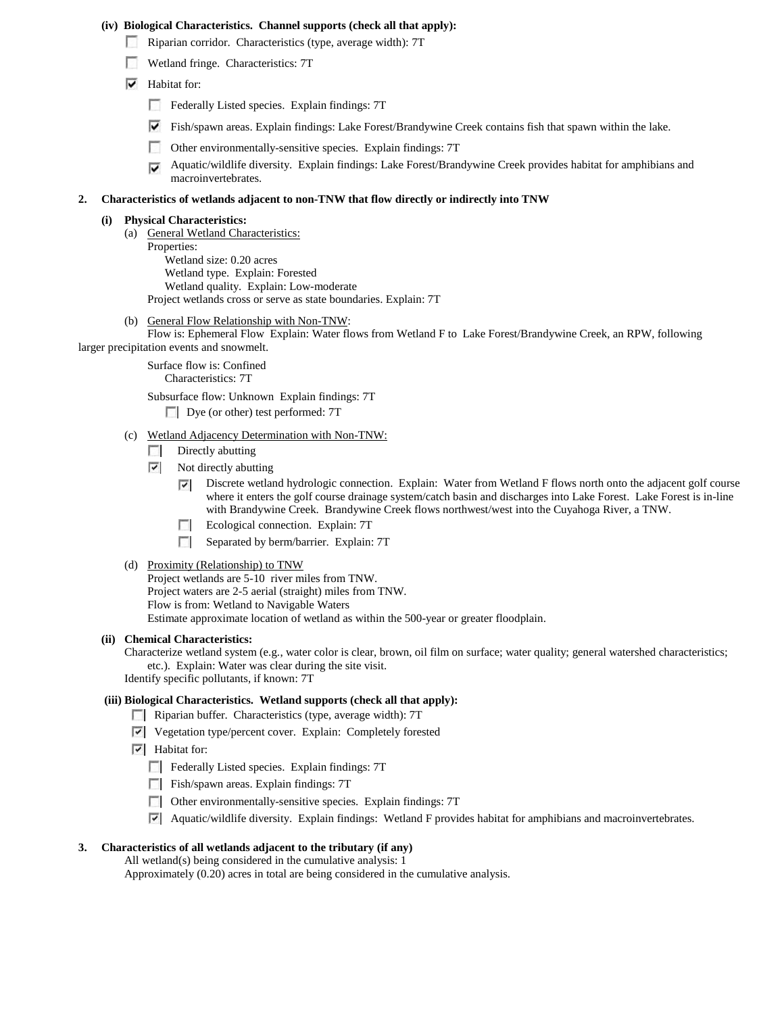#### **(iv) Biological Characteristics. Channel supports (check all that apply):**

- Riparian corridor. Characteristics (type, average width): 7T
- Wetland fringe. Characteristics: 7T
- $\blacktriangleright$  Habitat for:
	- Federally Listed species. Explain findings: 7T
	- Fish/spawn areas. Explain findings: Lake Forest/Brandywine Creek contains fish that spawn within the lake.
	- $\sim$ Other environmentally-sensitive species. Explain findings: 7T
	- Aquatic/wildlife diversity. Explain findings: Lake Forest/Brandywine Creek provides habitat for amphibians and macroinvertebrates.

#### **2. Characteristics of wetlands adjacent to non-TNW that flow directly or indirectly into TNW**

## **(i) Physical Characteristics:**

- (a) General Wetland Characteristics:
	- Properties: Wetland size: 0.20 acres Wetland type. Explain: Forested Wetland quality. Explain: Low-moderate Project wetlands cross or serve as state boundaries. Explain: 7T
- (b) General Flow Relationship with Non-TNW:

Flow is: Ephemeral Flow Explain: Water flows from Wetland F to Lake Forest/Brandywine Creek, an RPW, following larger precipitation events and snowmelt.

> Surface flow is: Confined Characteristics: 7T

Subsurface flow: Unknown Explain findings: 7T

- Dye (or other) test performed: 7T
- (c) Wetland Adjacency Determination with Non-TNW:
	- Directly abutting  $\sim$
	- $\overline{\phantom{a}}$ Not directly abutting
		- Discrete wetland hydrologic connection. Explain: Water from Wetland F flows north onto the adjacent golf course  $\overline{\phantom{a}}$ where it enters the golf course drainage system/catch basin and discharges into Lake Forest. Lake Forest is in-line with Brandywine Creek. Brandywine Creek flows northwest/west into the Cuyahoga River, a TNW.
		- Ecological connection. Explain: 7T
		- Separated by berm/barrier. Explain: 7T
- (d) Proximity (Relationship) to TNW

Project wetlands are 5-10 river miles from TNW. Project waters are 2-5 aerial (straight) miles from TNW. Flow is from: Wetland to Navigable Waters Estimate approximate location of wetland as within the 500-year or greater floodplain.

#### **(ii) Chemical Characteristics:**

Characterize wetland system (e.g., water color is clear, brown, oil film on surface; water quality; general watershed characteristics; etc.). Explain: Water was clear during the site visit. Identify specific pollutants, if known: 7T

#### **(iii) Biological Characteristics. Wetland supports (check all that apply):**

- **Riparian buffer.** Characteristics (type, average width): 7T
- Vegetation type/percent cover. Explain: Completely forested
- $\overline{\triangledown}$  Habitat for:
	- Federally Listed species. Explain findings: 7T
	- Fish/spawn areas. Explain findings: 7T
	- Other environmentally-sensitive species. Explain findings: 7T
	- Aquatic/wildlife diversity. Explain findings: Wetland F provides habitat for amphibians and macroinvertebrates.

#### **3. Characteristics of all wetlands adjacent to the tributary (if any)**

All wetland(s) being considered in the cumulative analysis: 1 Approximately (0.20) acres in total are being considered in the cumulative analysis.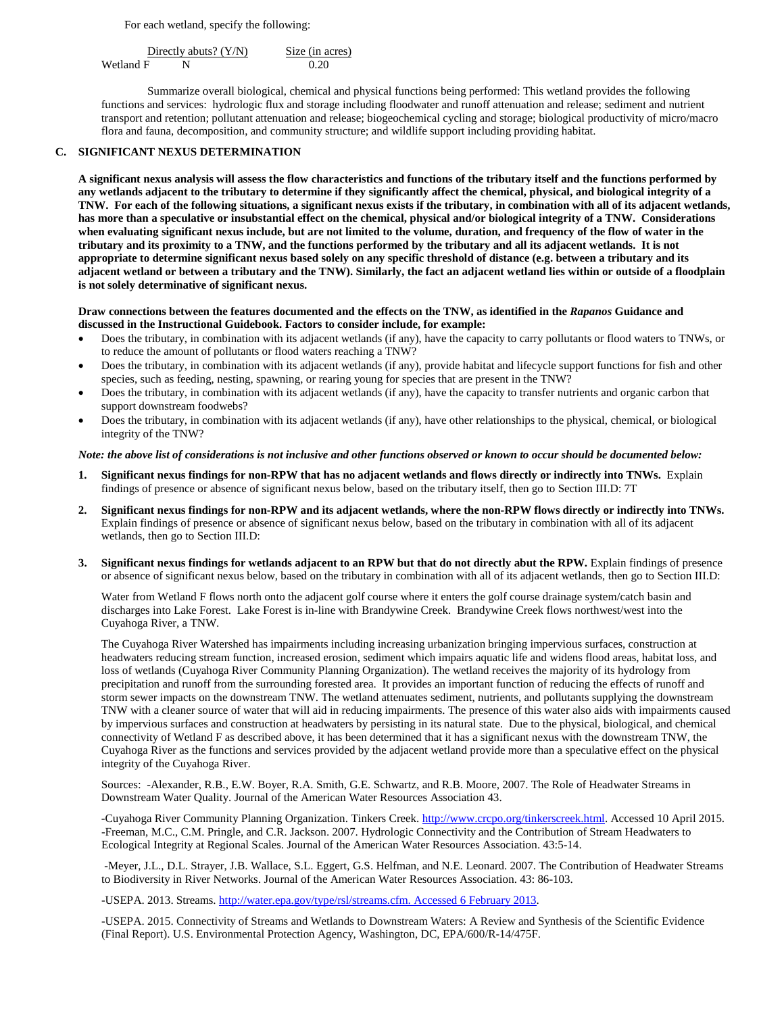For each wetland, specify the following:

Directly abuts?  $(Y/N)$  Size (in acres) Wetland F N 0.20

Summarize overall biological, chemical and physical functions being performed: This wetland provides the following functions and services: hydrologic flux and storage including floodwater and runoff attenuation and release; sediment and nutrient transport and retention; pollutant attenuation and release; biogeochemical cycling and storage; biological productivity of micro/macro flora and fauna, decomposition, and community structure; and wildlife support including providing habitat.

#### **C. SIGNIFICANT NEXUS DETERMINATION**

**A significant nexus analysis will assess the flow characteristics and functions of the tributary itself and the functions performed by any wetlands adjacent to the tributary to determine if they significantly affect the chemical, physical, and biological integrity of a TNW. For each of the following situations, a significant nexus exists if the tributary, in combination with all of its adjacent wetlands, has more than a speculative or insubstantial effect on the chemical, physical and/or biological integrity of a TNW. Considerations when evaluating significant nexus include, but are not limited to the volume, duration, and frequency of the flow of water in the tributary and its proximity to a TNW, and the functions performed by the tributary and all its adjacent wetlands. It is not appropriate to determine significant nexus based solely on any specific threshold of distance (e.g. between a tributary and its adjacent wetland or between a tributary and the TNW). Similarly, the fact an adjacent wetland lies within or outside of a floodplain is not solely determinative of significant nexus.** 

### **Draw connections between the features documented and the effects on the TNW, as identified in the** *Rapanos* **Guidance and discussed in the Instructional Guidebook. Factors to consider include, for example:**

- Does the tributary, in combination with its adjacent wetlands (if any), have the capacity to carry pollutants or flood waters to TNWs, or to reduce the amount of pollutants or flood waters reaching a TNW?
- Does the tributary, in combination with its adjacent wetlands (if any), provide habitat and lifecycle support functions for fish and other species, such as feeding, nesting, spawning, or rearing young for species that are present in the TNW?
- Does the tributary, in combination with its adjacent wetlands (if any), have the capacity to transfer nutrients and organic carbon that support downstream foodwebs?
- Does the tributary, in combination with its adjacent wetlands (if any), have other relationships to the physical, chemical, or biological integrity of the TNW?

#### *Note: the above list of considerations is not inclusive and other functions observed or known to occur should be documented below:*

- **1. Significant nexus findings for non-RPW that has no adjacent wetlands and flows directly or indirectly into TNWs.** Explain findings of presence or absence of significant nexus below, based on the tributary itself, then go to Section III.D: 7T
- **2. Significant nexus findings for non-RPW and its adjacent wetlands, where the non-RPW flows directly or indirectly into TNWs.**  Explain findings of presence or absence of significant nexus below, based on the tributary in combination with all of its adjacent wetlands, then go to Section III.D:
- **3. Significant nexus findings for wetlands adjacent to an RPW but that do not directly abut the RPW.** Explain findings of presence or absence of significant nexus below, based on the tributary in combination with all of its adjacent wetlands, then go to Section III.D:

Water from Wetland F flows north onto the adjacent golf course where it enters the golf course drainage system/catch basin and discharges into Lake Forest. Lake Forest is in-line with Brandywine Creek. Brandywine Creek flows northwest/west into the Cuyahoga River, a TNW.

The Cuyahoga River Watershed has impairments including increasing urbanization bringing impervious surfaces, construction at headwaters reducing stream function, increased erosion, sediment which impairs aquatic life and widens flood areas, habitat loss, and loss of wetlands (Cuyahoga River Community Planning Organization). The wetland receives the majority of its hydrology from precipitation and runoff from the surrounding forested area. It provides an important function of reducing the effects of runoff and storm sewer impacts on the downstream TNW. The wetland attenuates sediment, nutrients, and pollutants supplying the downstream TNW with a cleaner source of water that will aid in reducing impairments. The presence of this water also aids with impairments caused by impervious surfaces and construction at headwaters by persisting in its natural state. Due to the physical, biological, and chemical connectivity of Wetland F as described above, it has been determined that it has a significant nexus with the downstream TNW, the Cuyahoga River as the functions and services provided by the adjacent wetland provide more than a speculative effect on the physical integrity of the Cuyahoga River.

Sources: -Alexander, R.B., E.W. Boyer, R.A. Smith, G.E. Schwartz, and R.B. Moore, 2007. The Role of Headwater Streams in Downstream Water Quality. Journal of the American Water Resources Association 43.

-Cuyahoga River Community Planning Organization. Tinkers Creek. [http://www.crcpo.org/tinkerscreek.html.](http://www.crcpo.org/tinkerscreek.html) Accessed 10 April 2015. -Freeman, M.C., C.M. Pringle, and C.R. Jackson. 2007. Hydrologic Connectivity and the Contribution of Stream Headwaters to Ecological Integrity at Regional Scales. Journal of the American Water Resources Association. 43:5-14.

-Meyer, J.L., D.L. Strayer, J.B. Wallace, S.L. Eggert, G.S. Helfman, and N.E. Leonard. 2007. The Contribution of Headwater Streams to Biodiversity in River Networks. Journal of the American Water Resources Association. 43: 86-103.

-USEPA. 2013. Streams. [http://water.epa.gov/type/rsl/streams.cfm. Accessed 6 February 2013.](http://water.epa.gov/type/rsl/streams.cfm.%20Accessed%206%20February%202013)

-USEPA. 2015. Connectivity of Streams and Wetlands to Downstream Waters: A Review and Synthesis of the Scientific Evidence (Final Report). U.S. Environmental Protection Agency, Washington, DC, EPA/600/R-14/475F.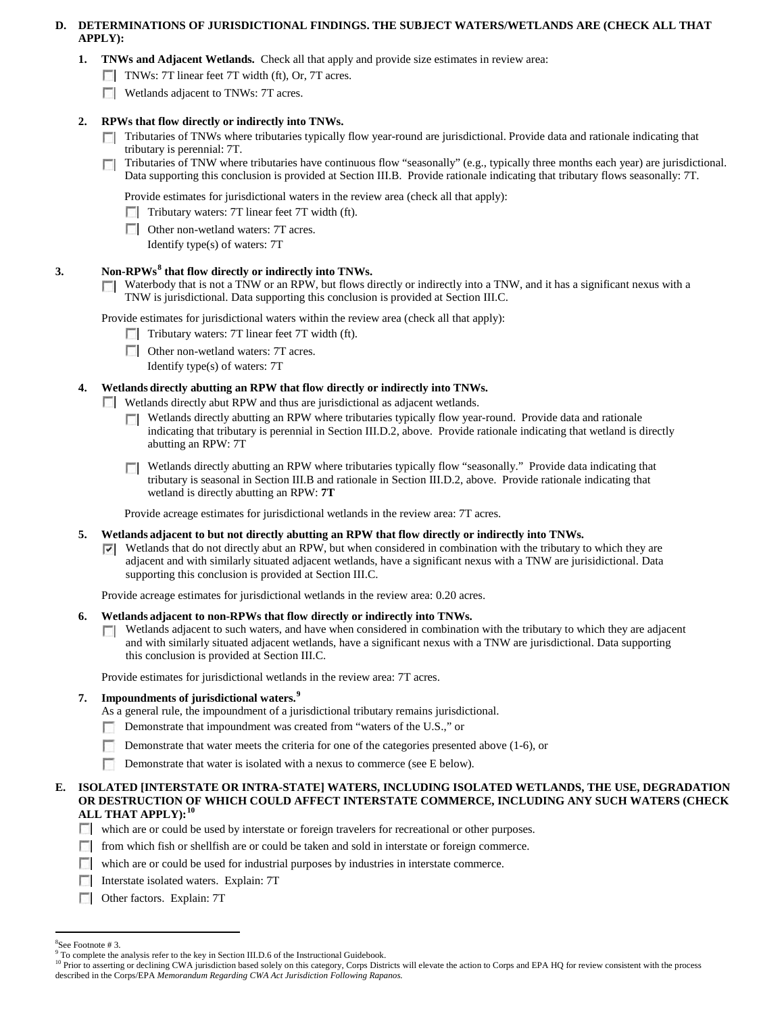## **D. DETERMINATIONS OF JURISDICTIONAL FINDINGS. THE SUBJECT WATERS/WETLANDS ARE (CHECK ALL THAT APPLY):**

- **1. TNWs and Adjacent Wetlands.** Check all that apply and provide size estimates in review area:
	- TNWs: 7T linear feet 7T width (ft), Or, 7T acres.
	- $\sim$ Wetlands adjacent to TNWs: 7T acres.

## **2. RPWs that flow directly or indirectly into TNWs.**

- $\Box$  Tributaries of TNWs where tributaries typically flow year-round are jurisdictional. Provide data and rationale indicating that tributary is perennial: 7T.
- Tributaries of TNW where tributaries have continuous flow "seasonally" (e.g., typically three months each year) are jurisdictional. n. Data supporting this conclusion is provided at Section III.B. Provide rationale indicating that tributary flows seasonally: 7T.

Provide estimates for jurisdictional waters in the review area (check all that apply):

- $\Box$  Tributary waters: 7T linear feet 7T width (ft).
- **DET** Other non-wetland waters: 7T acres.
	- Identify type(s) of waters: 7T

## **3. Non-RPWs[8](#page-13-0) that flow directly or indirectly into TNWs.**

Waterbody that is not a TNW or an RPW, but flows directly or indirectly into a TNW, and it has a significant nexus with a L. TNW is jurisdictional. Data supporting this conclusion is provided at Section III.C.

Provide estimates for jurisdictional waters within the review area (check all that apply):

- $\Box$  Tributary waters: 7T linear feet 7T width (ft).
- **DETER 10** Other non-wetland waters: 7T acres.

Identify type(s) of waters: 7T

## **4. Wetlands directly abutting an RPW that flow directly or indirectly into TNWs.**

Wetlands directly abut RPW and thus are jurisdictional as adjacent wetlands.

- Wetlands directly abutting an RPW where tributaries typically flow year-round. Provide data and rationale **TI** indicating that tributary is perennial in Section III.D.2, above. Provide rationale indicating that wetland is directly abutting an RPW: 7T
- Wetlands directly abutting an RPW where tributaries typically flow "seasonally." Provide data indicating that tributary is seasonal in Section III.B and rationale in Section III.D.2, above. Provide rationale indicating that wetland is directly abutting an RPW: **7T**

Provide acreage estimates for jurisdictional wetlands in the review area: 7T acres.

- **5. Wetlands adjacent to but not directly abutting an RPW that flow directly or indirectly into TNWs.**
	- $\nabla$  Wetlands that do not directly abut an RPW, but when considered in combination with the tributary to which they are adjacent and with similarly situated adjacent wetlands, have a significant nexus with a TNW are jurisidictional. Data supporting this conclusion is provided at Section III.C.

Provide acreage estimates for jurisdictional wetlands in the review area: 0.20 acres.

- **6. Wetlands adjacent to non-RPWs that flow directly or indirectly into TNWs.** 
	- $\Box$  Wetlands adjacent to such waters, and have when considered in combination with the tributary to which they are adjacent and with similarly situated adjacent wetlands, have a significant nexus with a TNW are jurisdictional. Data supporting this conclusion is provided at Section III.C.

Provide estimates for jurisdictional wetlands in the review area: 7T acres.

## **7. Impoundments of jurisdictional waters. [9](#page-13-1)**

- As a general rule, the impoundment of a jurisdictional tributary remains jurisdictional.
- n. Demonstrate that impoundment was created from "waters of the U.S.," or
- Demonstrate that water meets the criteria for one of the categories presented above (1-6), or
- п Demonstrate that water is isolated with a nexus to commerce (see E below).
- **E. ISOLATED [INTERSTATE OR INTRA-STATE] WATERS, INCLUDING ISOLATED WETLANDS, THE USE, DEGRADATION OR DESTRUCTION OF WHICH COULD AFFECT INTERSTATE COMMERCE, INCLUDING ANY SUCH WATERS (CHECK ALL THAT APPLY):[10](#page-13-2)**
	- which are or could be used by interstate or foreign travelers for recreational or other purposes.
	- from which fish or shellfish are or could be taken and sold in interstate or foreign commerce.
	- which are or could be used for industrial purposes by industries in interstate commerce.
	- **Interstate isolated waters. Explain: 7T**
	- Other factors.Explain: 7T

 $\frac{1}{8}$ 

<span id="page-13-1"></span><span id="page-13-0"></span><sup>&</sup>lt;sup>8</sup>See Footnote # 3.<br><sup>9</sup> To complete the analysis refer to the key in Section III.D.6 of the Instructional Guidebook.

<span id="page-13-2"></span><sup>&</sup>lt;sup>10</sup> Prior to asserting or declining CWA jurisdiction based solely on this category, Corps Districts will elevate the action to Corps and EPA HQ for review consistent with the process described in the Corps/EPA *Memorandum Regarding CWA Act Jurisdiction Following Rapanos.*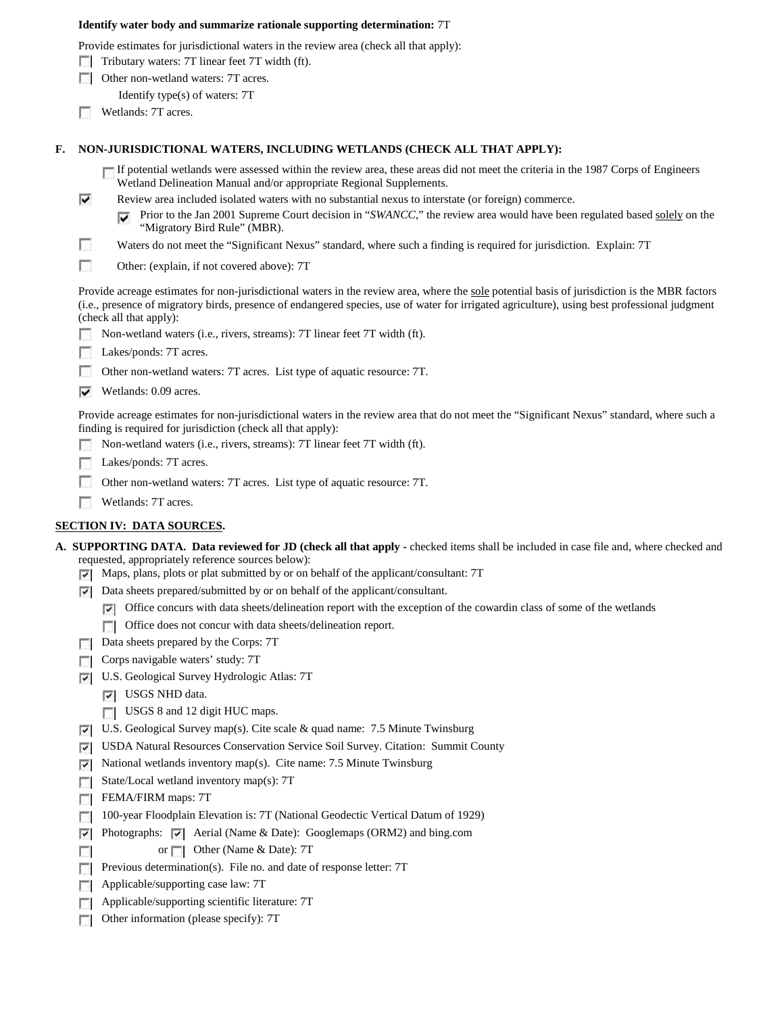#### **Identify water body and summarize rationale supporting determination:** 7T

Provide estimates for jurisdictional waters in the review area (check all that apply):

- $\Box$  Tributary waters: 7T linear feet 7T width (ft).
- **DE Other non-wetland waters: 7T acres.** 
	- Identify type(s) of waters: 7T
- **Wetlands: 7T acres.**

### **F. NON-JURISDICTIONAL WATERS, INCLUDING WETLANDS (CHECK ALL THAT APPLY):**

If potential wetlands were assessed within the review area, these areas did not meet the criteria in the 1987 Corps of Engineers Wetland Delineation Manual and/or appropriate Regional Supplements.

- ⊽ Review area included isolated waters with no substantial nexus to interstate (or foreign) commerce.
	- Prior to the Jan 2001 Supreme Court decision in "*SWANCC*," the review area would have been regulated based solely on the ⊽ "Migratory Bird Rule" (MBR).
- г Waters do not meet the "Significant Nexus" standard, where such a finding is required for jurisdiction. Explain: 7T
- г Other: (explain, if not covered above): 7T

Provide acreage estimates for non-jurisdictional waters in the review area, where the sole potential basis of jurisdiction is the MBR factors (i.e., presence of migratory birds, presence of endangered species, use of water for irrigated agriculture), using best professional judgment (check all that apply):

- Non-wetland waters (i.e., rivers, streams): 7T linear feet 7T width (ft).
- Lakes/ponds: 7T acres.
- Other non-wetland waters: 7T acres. List type of aquatic resource: 7T.
- $\triangledown$  Wetlands: 0.09 acres.

Provide acreage estimates for non-jurisdictional waters in the review area that do not meet the "Significant Nexus" standard, where such a finding is required for jurisdiction (check all that apply):

- Non-wetland waters (i.e., rivers, streams): 7T linear feet 7T width (ft).
- **Lakes/ponds: 7T acres.**
- Е Other non-wetland waters: 7T acres. List type of aquatic resource: 7T.
- Wetlands: 7T acres.

## **SECTION IV: DATA SOURCES.**

- **A. SUPPORTING DATA. Data reviewed for JD (check all that apply -** checked items shall be included in case file and, where checked and requested, appropriately reference sources below):
	- $\triangledown$  Maps, plans, plots or plat submitted by or on behalf of the applicant/consultant: 7T
	- $\nabla$  Data sheets prepared/submitted by or on behalf of the applicant/consultant.
		- $\nabla$  Office concurs with data sheets/delineation report with the exception of the cowardin class of some of the wetlands
		- **T** Office does not concur with data sheets/delineation report.
	- Data sheets prepared by the Corps: 7T
	- $\Box$  Corps navigable waters' study: 7T
	- U.S. Geological Survey Hydrologic Atlas: 7T
		- **V** USGS NHD data.
		- USGS 8 and 12 digit HUC maps.
	- U.S. Geological Survey map(s). Cite scale & quad name: 7.5 Minute Twinsburg
	- USDA Natural Resources Conservation Service Soil Survey. Citation: Summit County
	- National wetlands inventory map(s). Cite name: 7.5 Minute Twinsburg  $\overline{\mathbf{v}}$
	- State/Local wetland inventory map(s):  $7T$
	- FEMA/FIRM maps: 7T

п

- 100-year Floodplain Elevation is: 7T (National Geodectic Vertical Datum of 1929)
- $\nabla$  Photographs:  $\nabla$  Aerial (Name & Date): Googlemaps (ORM2) and bing.com
	- or **Other (Name & Date): 7T**
- **Previous determination(s).** File no. and date of response letter:  $7T$
- Applicable/supporting case law: 7T  $\mathcal{L}$
- **Applicable/supporting scientific literature: 7T**
- $\overline{a}$ Other information (please specify): 7T